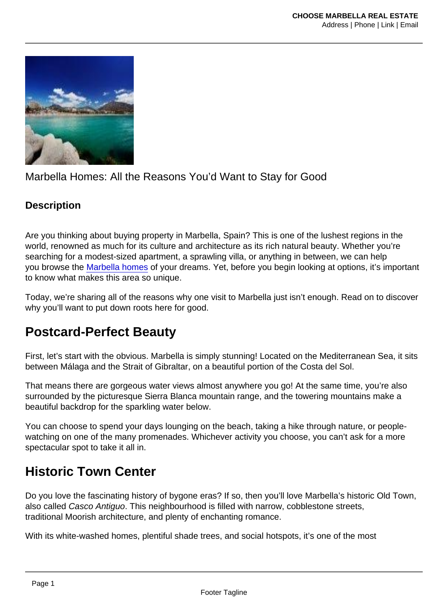#### Marbella Homes: All the Reasons You'd Want to Stay for Good

#### **Description**

Are you thinking about buying property in Marbella, Spain? This is one of the lushest regions in the world, renowned as much for its culture and architecture as its rich natural beauty. Whether you're searching for a modest-sized apartment, a sprawling villa, or anything in between, we can help you browse the [Marbella homes](https://choosemarbella.com/properties/) of your dreams. Yet, before you begin looking at options, it's important to know what makes this area so unique.

Today, we're sharing all of the reasons why one visit to Marbella just isn't enough. Read on to discover why you'll want to put down roots here for good.

## Postcard-Perfect Beauty

First, let's start with the obvious. Marbella is simply stunning! Located on the Mediterranean Sea, it sits between Málaga and the Strait of Gibraltar, on a beautiful portion of the Costa del Sol.

That means there are gorgeous water views almost anywhere you go! At the same time, you're also surrounded by the picturesque Sierra Blanca mountain range, and the towering mountains make a beautiful backdrop for the sparkling water below.

You can choose to spend your days lounging on the beach, taking a hike through nature, or peoplewatching on one of the many promenades. Whichever activity you choose, you can't ask for a more spectacular spot to take it all in.

## Historic Town Center

Do you love the fascinating history of bygone eras? If so, then you'll love Marbella's historic Old Town, also called Casco Antiguo. This neighbourhood is filled with narrow, cobblestone streets, traditional Moorish architecture, and plenty of enchanting romance.

With its white-washed homes, plentiful shade trees, and social hotspots, it's one of the most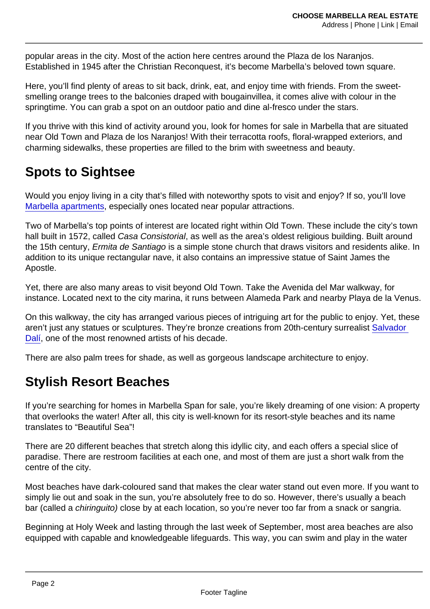popular areas in the city. Most of the action here centres around the Plaza de los Naranjos. Established in 1945 after the Christian Reconquest, it's become Marbella's beloved town square.

Here, you'll find plenty of areas to sit back, drink, eat, and enjoy time with friends. From the sweetsmelling orange trees to the balconies draped with bougainvillea, it comes alive with colour in the springtime. You can grab a spot on an outdoor patio and dine al-fresco under the stars.

If you thrive with this kind of activity around you, look for homes for sale in Marbella that are situated near Old Town and Plaza de los Naranjos! With their terracotta roofs, floral-wrapped exteriors, and charming sidewalks, these properties are filled to the brim with sweetness and beauty.

## Spots to Sightsee

Would you enjoy living in a city that's filled with noteworthy spots to visit and enjoy? If so, you'll love [Marbella apartments](https://choosemarbella.com/property-type/apartment/), especially ones located near popular attractions.

Two of Marbella's top points of interest are located right within Old Town. These include the city's town hall built in 1572, called Casa Consistorial, as well as the area's oldest religious building. Built around the 15th century, Ermita de Santiago is a simple stone church that draws visitors and residents alike. In addition to its unique rectangular nave, it also contains an impressive statue of Saint James the Apostle.

Yet, there are also many areas to visit beyond Old Town. Take the Avenida del Mar walkway, for instance. Located next to the city marina, it runs between Alameda Park and nearby Playa de la Venus.

On this walkway, the city has arranged various pieces of intriguing art for the public to enjoy. Yet, these aren't just any statues or sculptures. They're bronze creations from 20th-century surrealist Salvador [Dalí](https://www.theartstory.org/artist/dali-salvador/), one of the most renowned artists of his decade.

There are also palm trees for shade, as well as gorgeous landscape architecture to enjoy.

# Stylish Resort Beaches

If you're searching for homes in Marbella Span for sale, you're likely dreaming of one vision: A property that overlooks the water! After all, this city is well-known for its resort-style beaches and its name translates to "Beautiful Sea"!

There are 20 different beaches that stretch along this idyllic city, and each offers a special slice of paradise. There are restroom facilities at each one, and most of them are just a short walk from the centre of the city.

Most beaches have dark-coloured sand that makes the clear water stand out even more. If you want to simply lie out and soak in the sun, you're absolutely free to do so. However, there's usually a beach bar (called a chiringuito) close by at each location, so you're never too far from a snack or sangria.

Beginning at Holy Week and lasting through the last week of September, most area beaches are also equipped with capable and knowledgeable lifeguards. This way, you can swim and play in the water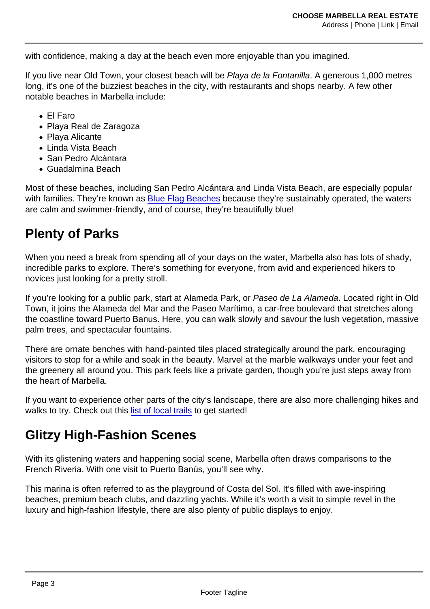with confidence, making a day at the beach even more enjoyable than you imagined.

If you live near Old Town, your closest beach will be Playa de la Fontanilla. A generous 1,000 metres long, it's one of the buzziest beaches in the city, with restaurants and shops nearby. A few other notable beaches in Marbella include:

- El Faro
- Playa Real de Zaragoza
- Playa Alicante
- Linda Vista Beach
- San Pedro Alcántara
- Guadalmina Beach

Most of these beaches, including San Pedro Alcántara and Linda Vista Beach, are especially popular with families. They're known as [Blue Flag Beaches](https://www.scmp.com/magazines/style/leisure/article/3033006/5-blue-flag-beaches-are-pristine-sustainable-and-gorgeous) because they're sustainably operated, the waters are calm and swimmer-friendly, and of course, they're beautifully blue!

#### Plenty of Parks

When you need a break from spending all of your days on the water. Marbella also has lots of shady, incredible parks to explore. There's something for everyone, from avid and experienced hikers to novices just looking for a pretty stroll.

If you're looking for a public park, start at Alameda Park, or Paseo de La Alameda. Located right in Old Town, it joins the Alameda del Mar and the Paseo Marítimo, a car-free boulevard that stretches along the coastline toward Puerto Banus. Here, you can walk slowly and savour the lush vegetation, massive palm trees, and spectacular fountains.

There are ornate benches with hand-painted tiles placed strategically around the park, encouraging visitors to stop for a while and soak in the beauty. Marvel at the marble walkways under your feet and the greenery all around you. This park feels like a private garden, though you're just steps away from the heart of Marbella.

If you want to experience other parts of the city's landscape, there are also more challenging hikes and walks to try. Check out this [list of local trails](https://www.alltrails.com/spain/malaga/marbella) to get started!

## Glitzy High-Fashion Scenes

With its glistening waters and happening social scene, Marbella often draws comparisons to the French Riveria. With one visit to Puerto Banús, you'll see why.

This marina is often referred to as the playground of Costa del Sol. It's filled with awe-inspiring beaches, premium beach clubs, and dazzling yachts. While it's worth a visit to simple revel in the luxury and high-fashion lifestyle, there are also plenty of public displays to enjoy.